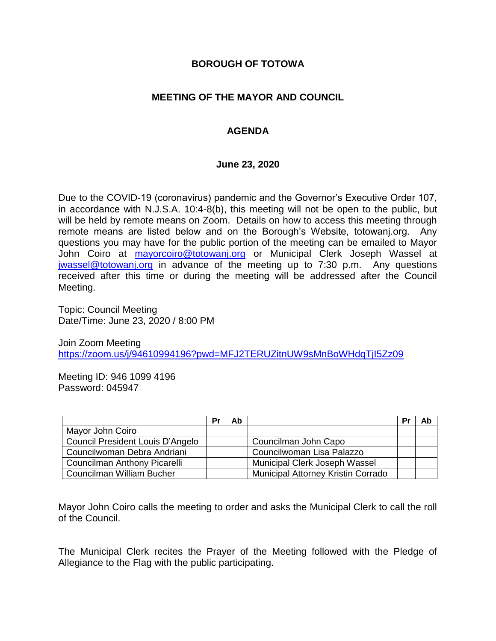### **BOROUGH OF TOTOWA**

## **MEETING OF THE MAYOR AND COUNCIL**

## **AGENDA**

#### **June 23, 2020**

Due to the COVID-19 (coronavirus) pandemic and the Governor's Executive Order 107, in accordance with N.J.S.A. 10:4-8(b), this meeting will not be open to the public, but will be held by remote means on Zoom. Details on how to access this meeting through remote means are listed below and on the Borough's Website, totowanj.org. Any questions you may have for the public portion of the meeting can be emailed to Mayor John Coiro at [mayorcoiro@totowanj.org](mailto:mayorcoiro@totowanj.org) or Municipal Clerk Joseph Wassel at [jwassel@totowanj.org](mailto:jwassel@totowanj.org) in advance of the meeting up to 7:30 p.m. Any questions received after this time or during the meeting will be addressed after the Council Meeting.

Topic: Council Meeting Date/Time: June 23, 2020 / 8:00 PM

Join Zoom Meeting <https://zoom.us/j/94610994196?pwd=MFJ2TERUZitnUW9sMnBoWHdqTjI5Zz09>

Meeting ID: 946 1099 4196 Password: 045947

|                                  | Pr | Ab |                                    | Pr | Ab |
|----------------------------------|----|----|------------------------------------|----|----|
| Mayor John Coiro                 |    |    |                                    |    |    |
| Council President Louis D'Angelo |    |    | Councilman John Capo               |    |    |
| Councilwoman Debra Andriani      |    |    | Councilwoman Lisa Palazzo          |    |    |
| Councilman Anthony Picarelli     |    |    | Municipal Clerk Joseph Wassel      |    |    |
| Councilman William Bucher        |    |    | Municipal Attorney Kristin Corrado |    |    |

Mayor John Coiro calls the meeting to order and asks the Municipal Clerk to call the roll of the Council.

The Municipal Clerk recites the Prayer of the Meeting followed with the Pledge of Allegiance to the Flag with the public participating.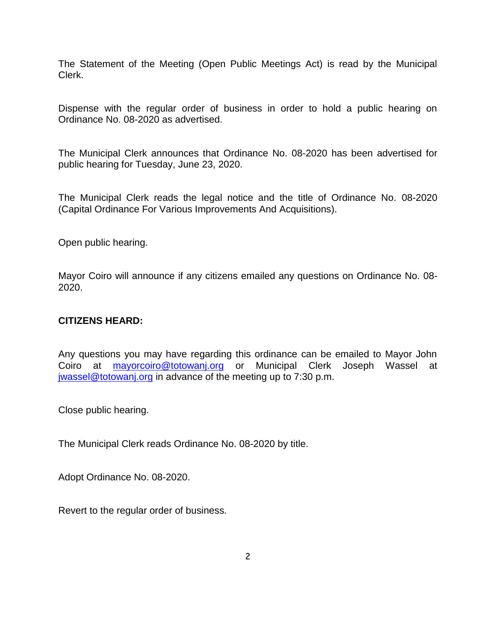The Statement of the Meeting (Open Public Meetings Act) is read by the Municipal Clerk.

Dispense with the regular order of business in order to hold a public hearing on Ordinance No. 08-2020 as advertised.

The Municipal Clerk announces that Ordinance No. 08-2020 has been advertised for public hearing for Tuesday, June 23, 2020.

The Municipal Clerk reads the legal notice and the title of Ordinance No. 08-2020 (Capital Ordinance For Various Improvements And Acquisitions).

Open public hearing.

Mayor Coiro will announce if any citizens emailed any questions on Ordinance No. 08- 2020.

### **CITIZENS HEARD:**

Any questions you may have regarding this ordinance can be emailed to Mayor John Coiro at [mayorcoiro@totowanj.org](mailto:mayorcoiro@totowanj.org) or Municipal Clerk Joseph Wassel at [jwassel@totowanj.org](mailto:jwassel@totowanj.org) in advance of the meeting up to 7:30 p.m.

Close public hearing.

The Municipal Clerk reads Ordinance No. 08-2020 by title.

Adopt Ordinance No. 08-2020.

Revert to the regular order of business.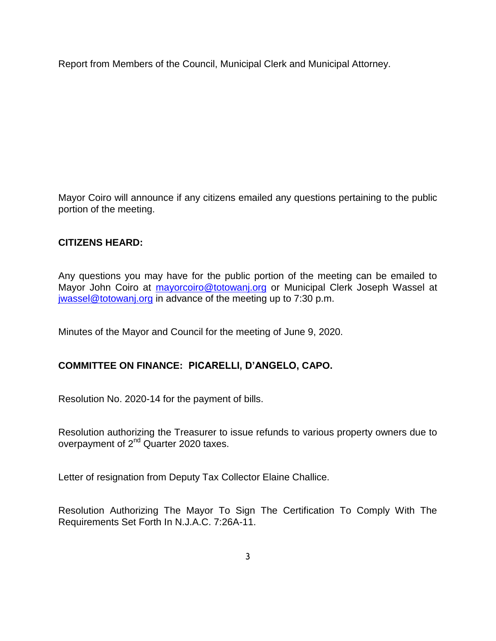Report from Members of the Council, Municipal Clerk and Municipal Attorney.

Mayor Coiro will announce if any citizens emailed any questions pertaining to the public portion of the meeting.

# **CITIZENS HEARD:**

Any questions you may have for the public portion of the meeting can be emailed to Mayor John Coiro at [mayorcoiro@totowanj.org](mailto:mayorcoiro@totowanj.org) or Municipal Clerk Joseph Wassel at [jwassel@totowanj.org](mailto:jwassel@totowanj.org) in advance of the meeting up to 7:30 p.m.

Minutes of the Mayor and Council for the meeting of June 9, 2020.

# **COMMITTEE ON FINANCE: PICARELLI, D'ANGELO, CAPO.**

Resolution No. 2020-14 for the payment of bills.

Resolution authorizing the Treasurer to issue refunds to various property owners due to overpayment of 2<sup>nd</sup> Quarter 2020 taxes.

Letter of resignation from Deputy Tax Collector Elaine Challice.

Resolution Authorizing The Mayor To Sign The Certification To Comply With The Requirements Set Forth In N.J.A.C. 7:26A-11.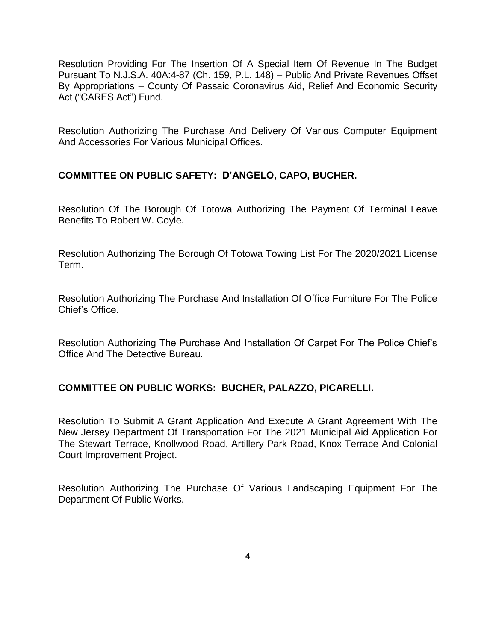Resolution Providing For The Insertion Of A Special Item Of Revenue In The Budget Pursuant To N.J.S.A. 40A:4-87 (Ch. 159, P.L. 148) – Public And Private Revenues Offset By Appropriations – County Of Passaic Coronavirus Aid, Relief And Economic Security Act ("CARES Act") Fund.

Resolution Authorizing The Purchase And Delivery Of Various Computer Equipment And Accessories For Various Municipal Offices.

## **COMMITTEE ON PUBLIC SAFETY: D'ANGELO, CAPO, BUCHER.**

Resolution Of The Borough Of Totowa Authorizing The Payment Of Terminal Leave Benefits To Robert W. Coyle.

Resolution Authorizing The Borough Of Totowa Towing List For The 2020/2021 License Term.

Resolution Authorizing The Purchase And Installation Of Office Furniture For The Police Chief's Office.

Resolution Authorizing The Purchase And Installation Of Carpet For The Police Chief's Office And The Detective Bureau.

# **COMMITTEE ON PUBLIC WORKS: BUCHER, PALAZZO, PICARELLI.**

Resolution To Submit A Grant Application And Execute A Grant Agreement With The New Jersey Department Of Transportation For The 2021 Municipal Aid Application For The Stewart Terrace, Knollwood Road, Artillery Park Road, Knox Terrace And Colonial Court Improvement Project.

Resolution Authorizing The Purchase Of Various Landscaping Equipment For The Department Of Public Works.